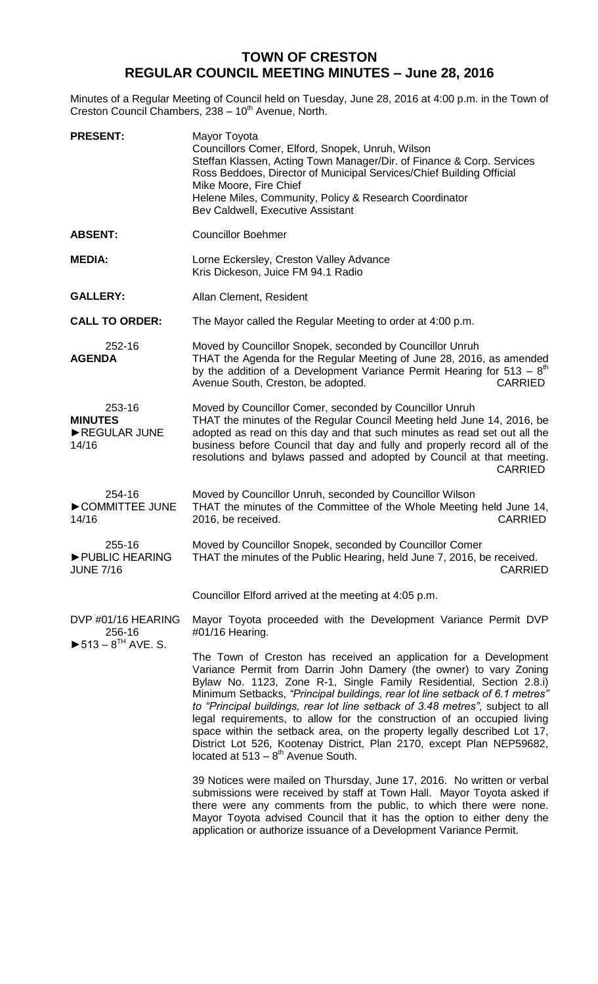## **TOWN OF CRESTON REGULAR COUNCIL MEETING MINUTES – June 28, 2016**

Minutes of a Regular Meeting of Council held on Tuesday, June 28, 2016 at 4:00 p.m. in the Town of Creston Council Chambers, 238 - 10<sup>th</sup> Avenue, North.

| <b>PRESENT:</b>                                                                | Mayor Toyota<br>Councillors Comer, Elford, Snopek, Unruh, Wilson<br>Steffan Klassen, Acting Town Manager/Dir. of Finance & Corp. Services<br>Ross Beddoes, Director of Municipal Services/Chief Building Official<br>Mike Moore, Fire Chief<br>Helene Miles, Community, Policy & Research Coordinator<br>Bev Caldwell, Executive Assistant                                                                                                                                                                                                                                                                                                                           |
|--------------------------------------------------------------------------------|----------------------------------------------------------------------------------------------------------------------------------------------------------------------------------------------------------------------------------------------------------------------------------------------------------------------------------------------------------------------------------------------------------------------------------------------------------------------------------------------------------------------------------------------------------------------------------------------------------------------------------------------------------------------|
| <b>ABSENT:</b>                                                                 | <b>Councillor Boehmer</b>                                                                                                                                                                                                                                                                                                                                                                                                                                                                                                                                                                                                                                            |
| <b>MEDIA:</b>                                                                  | Lorne Eckersley, Creston Valley Advance<br>Kris Dickeson, Juice FM 94.1 Radio                                                                                                                                                                                                                                                                                                                                                                                                                                                                                                                                                                                        |
| <b>GALLERY:</b>                                                                | Allan Clement, Resident                                                                                                                                                                                                                                                                                                                                                                                                                                                                                                                                                                                                                                              |
| <b>CALL TO ORDER:</b>                                                          | The Mayor called the Regular Meeting to order at 4:00 p.m.                                                                                                                                                                                                                                                                                                                                                                                                                                                                                                                                                                                                           |
| 252-16<br><b>AGENDA</b>                                                        | Moved by Councillor Snopek, seconded by Councillor Unruh<br>THAT the Agenda for the Regular Meeting of June 28, 2016, as amended<br>by the addition of a Development Variance Permit Hearing for $513 - 8th$<br>Avenue South, Creston, be adopted.<br><b>CARRIED</b>                                                                                                                                                                                                                                                                                                                                                                                                 |
| 253-16<br><b>MINUTES</b><br>REGULAR JUNE<br>14/16                              | Moved by Councillor Comer, seconded by Councillor Unruh<br>THAT the minutes of the Regular Council Meeting held June 14, 2016, be<br>adopted as read on this day and that such minutes as read set out all the<br>business before Council that day and fully and properly record all of the<br>resolutions and bylaws passed and adopted by Council at that meeting.<br><b>CARRIED</b>                                                                                                                                                                                                                                                                               |
| 254-16<br>COMMITTEE JUNE<br>14/16                                              | Moved by Councillor Unruh, seconded by Councillor Wilson<br>THAT the minutes of the Committee of the Whole Meeting held June 14,<br>2016, be received.<br><b>CARRIED</b>                                                                                                                                                                                                                                                                                                                                                                                                                                                                                             |
| 255-16<br>PUBLIC HEARING<br><b>JUNE 7/16</b>                                   | Moved by Councillor Snopek, seconded by Councillor Comer<br>THAT the minutes of the Public Hearing, held June 7, 2016, be received.<br><b>CARRIED</b>                                                                                                                                                                                                                                                                                                                                                                                                                                                                                                                |
|                                                                                | Councillor Elford arrived at the meeting at 4:05 p.m.                                                                                                                                                                                                                                                                                                                                                                                                                                                                                                                                                                                                                |
| DVP #01/16 HEARING<br>256-16<br>$\triangleright$ 513 – 8 <sup>TH</sup> AVE. S. | Mayor Toyota proceeded with the Development Variance Permit DVP<br>#01/16 Hearing.                                                                                                                                                                                                                                                                                                                                                                                                                                                                                                                                                                                   |
|                                                                                | The Town of Creston has received an application for a Development<br>Variance Permit from Darrin John Damery (the owner) to vary Zoning<br>Bylaw No. 1123, Zone R-1, Single Family Residential, Section 2.8.i)<br>Minimum Setbacks, "Principal buildings, rear lot line setback of 6.1 metres"<br>to "Principal buildings, rear lot line setback of 3.48 metres", subject to all<br>legal requirements, to allow for the construction of an occupied living<br>space within the setback area, on the property legally described Lot 17,<br>District Lot 526, Kootenay District, Plan 2170, except Plan NEP59682,<br>located at $513 - 8$ <sup>th</sup> Avenue South. |
|                                                                                | 39 Notices were mailed on Thursday, June 17, 2016. No written or verbal<br>submissions were received by staff at Town Hall. Mayor Toyota asked if<br>there were any comments from the public, to which there were none.<br>Mayor Toyota advised Council that it has the option to either deny the<br>application or authorize issuance of a Development Variance Permit.                                                                                                                                                                                                                                                                                             |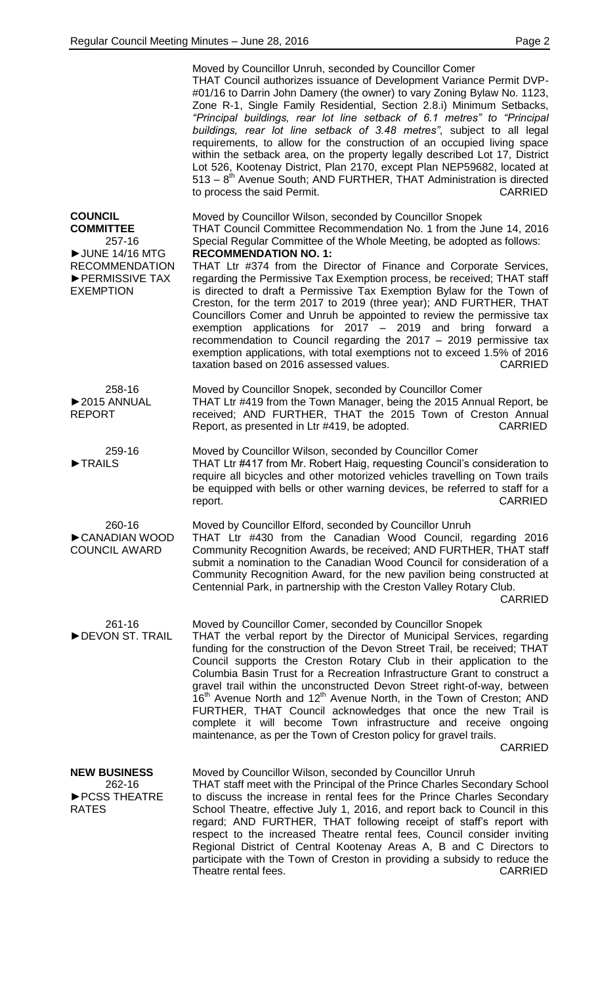|                                                                                                                               | Moved by Councillor Unruh, seconded by Councillor Comer<br>THAT Council authorizes issuance of Development Variance Permit DVP-<br>#01/16 to Darrin John Damery (the owner) to vary Zoning Bylaw No. 1123,<br>Zone R-1, Single Family Residential, Section 2.8.i) Minimum Setbacks,<br>"Principal buildings, rear lot line setback of 6.1 metres" to "Principal<br>buildings, rear lot line setback of 3.48 metres", subject to all legal<br>requirements, to allow for the construction of an occupied living space<br>within the setback area, on the property legally described Lot 17, District<br>Lot 526, Kootenay District, Plan 2170, except Plan NEP59682, located at<br>$513 - 8th$ Avenue South; AND FURTHER, THAT Administration is directed<br>to process the said Permit.<br><b>CARRIED</b>                                                                                         |
|-------------------------------------------------------------------------------------------------------------------------------|---------------------------------------------------------------------------------------------------------------------------------------------------------------------------------------------------------------------------------------------------------------------------------------------------------------------------------------------------------------------------------------------------------------------------------------------------------------------------------------------------------------------------------------------------------------------------------------------------------------------------------------------------------------------------------------------------------------------------------------------------------------------------------------------------------------------------------------------------------------------------------------------------|
| <b>COUNCIL</b><br><b>COMMITTEE</b><br>257-16<br>UUNE 14/16 MTG<br><b>RECOMMENDATION</b><br>PERMISSIVE TAX<br><b>EXEMPTION</b> | Moved by Councillor Wilson, seconded by Councillor Snopek<br>THAT Council Committee Recommendation No. 1 from the June 14, 2016<br>Special Regular Committee of the Whole Meeting, be adopted as follows:<br><b>RECOMMENDATION NO. 1:</b><br>THAT Ltr #374 from the Director of Finance and Corporate Services,<br>regarding the Permissive Tax Exemption process, be received; THAT staff<br>is directed to draft a Permissive Tax Exemption Bylaw for the Town of<br>Creston, for the term 2017 to 2019 (three year); AND FURTHER, THAT<br>Councillors Comer and Unruh be appointed to review the permissive tax<br>exemption applications for $2017 - 2019$ and bring forward a<br>recommendation to Council regarding the 2017 - 2019 permissive tax<br>exemption applications, with total exemptions not to exceed 1.5% of 2016<br>taxation based on 2016 assessed values.<br><b>CARRIED</b> |
| 258-16<br>▶2015 ANNUAL<br><b>REPORT</b>                                                                                       | Moved by Councillor Snopek, seconded by Councillor Comer<br>THAT Ltr #419 from the Town Manager, being the 2015 Annual Report, be<br>received; AND FURTHER, THAT the 2015 Town of Creston Annual<br>Report, as presented in Ltr #419, be adopted.<br><b>CARRIED</b>                                                                                                                                                                                                                                                                                                                                                                                                                                                                                                                                                                                                                               |
| 259-16<br><b>TRAILS</b>                                                                                                       | Moved by Councillor Wilson, seconded by Councillor Comer<br>THAT Ltr #417 from Mr. Robert Haig, requesting Council's consideration to<br>require all bicycles and other motorized vehicles travelling on Town trails<br>be equipped with bells or other warning devices, be referred to staff for a<br><b>CARRIED</b><br>report.                                                                                                                                                                                                                                                                                                                                                                                                                                                                                                                                                                  |
| 260-16<br>CANADIAN WOOD<br><b>COUNCIL AWARD</b>                                                                               | Moved by Councillor Elford, seconded by Councillor Unruh<br>THAT Ltr #430 from the Canadian Wood Council, regarding 2016<br>Community Recognition Awards, be received; AND FURTHER, THAT staff<br>submit a nomination to the Canadian Wood Council for consideration of a<br>Community Recognition Award, for the new pavilion being constructed at<br>Centennial Park, in partnership with the Creston Valley Rotary Club.<br><b>CARRIED</b>                                                                                                                                                                                                                                                                                                                                                                                                                                                     |
| 261-16<br>DEVON ST. TRAIL                                                                                                     | Moved by Councillor Comer, seconded by Councillor Snopek<br>THAT the verbal report by the Director of Municipal Services, regarding<br>funding for the construction of the Devon Street Trail, be received; THAT<br>Council supports the Creston Rotary Club in their application to the<br>Columbia Basin Trust for a Recreation Infrastructure Grant to construct a<br>gravel trail within the unconstructed Devon Street right-of-way, between<br>16 <sup>th</sup> Avenue North and 12 <sup>th</sup> Avenue North, in the Town of Creston; AND<br>FURTHER, THAT Council acknowledges that once the new Trail is<br>complete it will become Town infrastructure and receive ongoing<br>maintenance, as per the Town of Creston policy for gravel trails.<br><b>CARRIED</b>                                                                                                                      |
| <b>NEW BUSINESS</b><br>262-16<br>PCSS THEATRE<br><b>RATES</b>                                                                 | Moved by Councillor Wilson, seconded by Councillor Unruh<br>THAT staff meet with the Principal of the Prince Charles Secondary School<br>to discuss the increase in rental fees for the Prince Charles Secondary<br>School Theatre, effective July 1, 2016, and report back to Council in this<br>regard; AND FURTHER, THAT following receipt of staff's report with<br>respect to the increased Theatre rental fees, Council consider inviting<br>Regional District of Central Kootenay Areas A, B and C Directors to<br>participate with the Town of Creston in providing a subsidy to reduce the<br>Theatre rental fees.<br><b>CARRIED</b>                                                                                                                                                                                                                                                     |